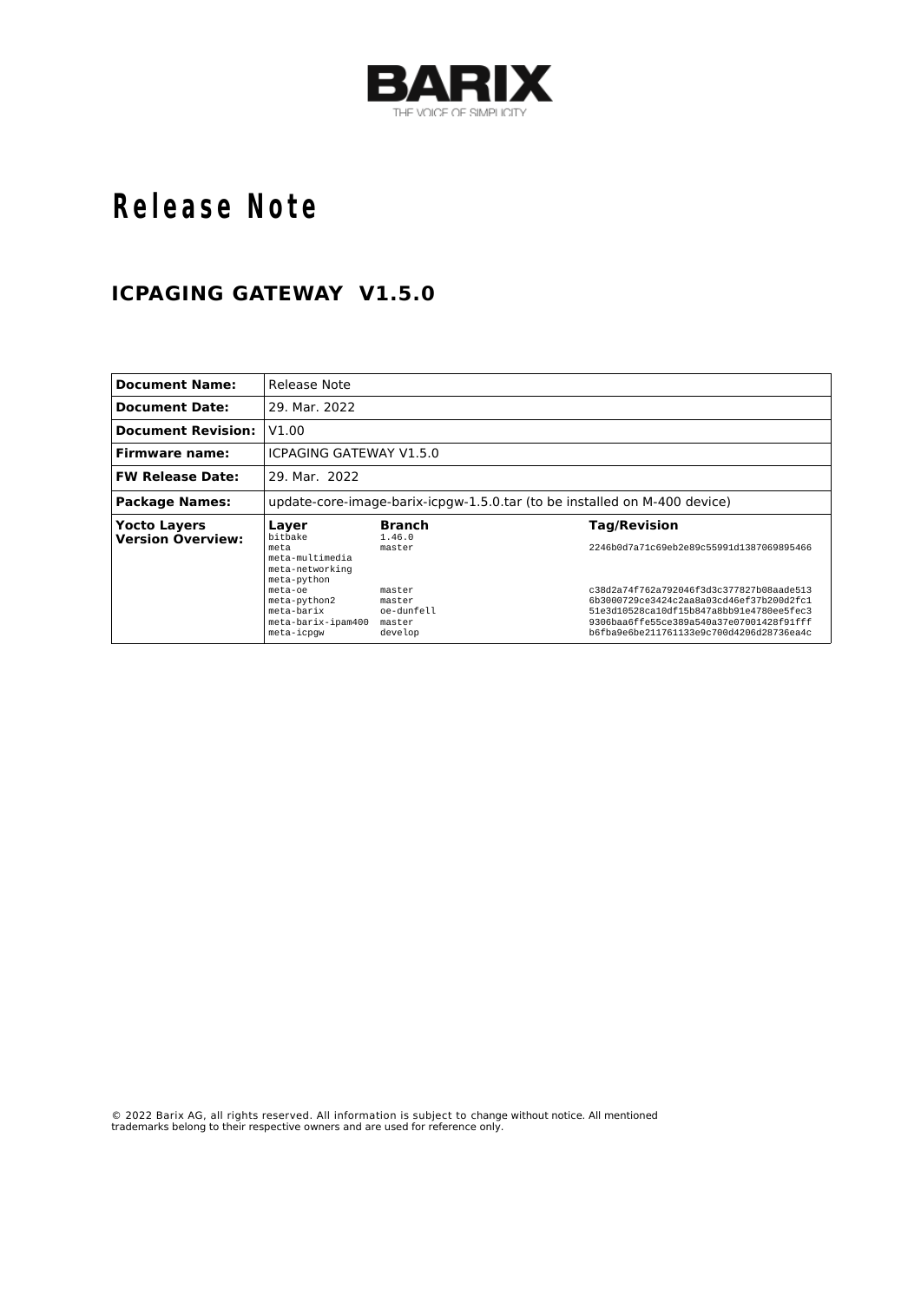

# **R e l e a s e N o t e**

### **ICPAGING GATEWAY V1.5.0**

| <b>Document Name:</b>                           | Release Note                                                                                                                           |                                                               |                                                                                                                                                                                                                                                                      |
|-------------------------------------------------|----------------------------------------------------------------------------------------------------------------------------------------|---------------------------------------------------------------|----------------------------------------------------------------------------------------------------------------------------------------------------------------------------------------------------------------------------------------------------------------------|
| <b>Document Date:</b>                           | 29. Mar. 2022                                                                                                                          |                                                               |                                                                                                                                                                                                                                                                      |
| <b>Document Revision:</b>                       | V1.00                                                                                                                                  |                                                               |                                                                                                                                                                                                                                                                      |
| <b>Firmware name:</b>                           | ICPAGING GATEWAY V1.5.0                                                                                                                |                                                               |                                                                                                                                                                                                                                                                      |
| <b>FW Release Date:</b>                         | 29. Mar. 2022                                                                                                                          |                                                               |                                                                                                                                                                                                                                                                      |
| <b>Package Names:</b>                           | update-core-image-barix-icpgw-1.5.0.tar (to be installed on M-400 device)                                                              |                                                               |                                                                                                                                                                                                                                                                      |
| <b>Yocto Layers</b><br><b>Version Overview:</b> | Laver<br>bitbake                                                                                                                       | <b>Branch</b><br>1.46.0                                       | <b>Tag/Revision</b>                                                                                                                                                                                                                                                  |
|                                                 | meta<br>meta-multimedia<br>meta-networking<br>meta-python<br>meta-oe<br>meta-python2<br>meta-barix<br>meta-barix-ipam400<br>meta-icpgw | master<br>master<br>master<br>oe-dunfell<br>master<br>develop | 2246b0d7a71c69eb2e89c55991d1387069895466<br>c38d2a74f762a792046f3d3c377827b08aade513<br>6b3000729ce3424c2aa8a03cd46ef37b200d2fc1<br>51e3d10528ca10df15b847a8bb91e4780ee5fec3<br>9306baa6ffe55ce389a540a37e07001428f91fff<br>b6fba9e6be211761133e9c700d4206d28736ea4c |

© 2022 Barix AG, all rights reserved. All information is subject to change without notice. All mentioned trademarks belong to their respective owners and are used for reference only.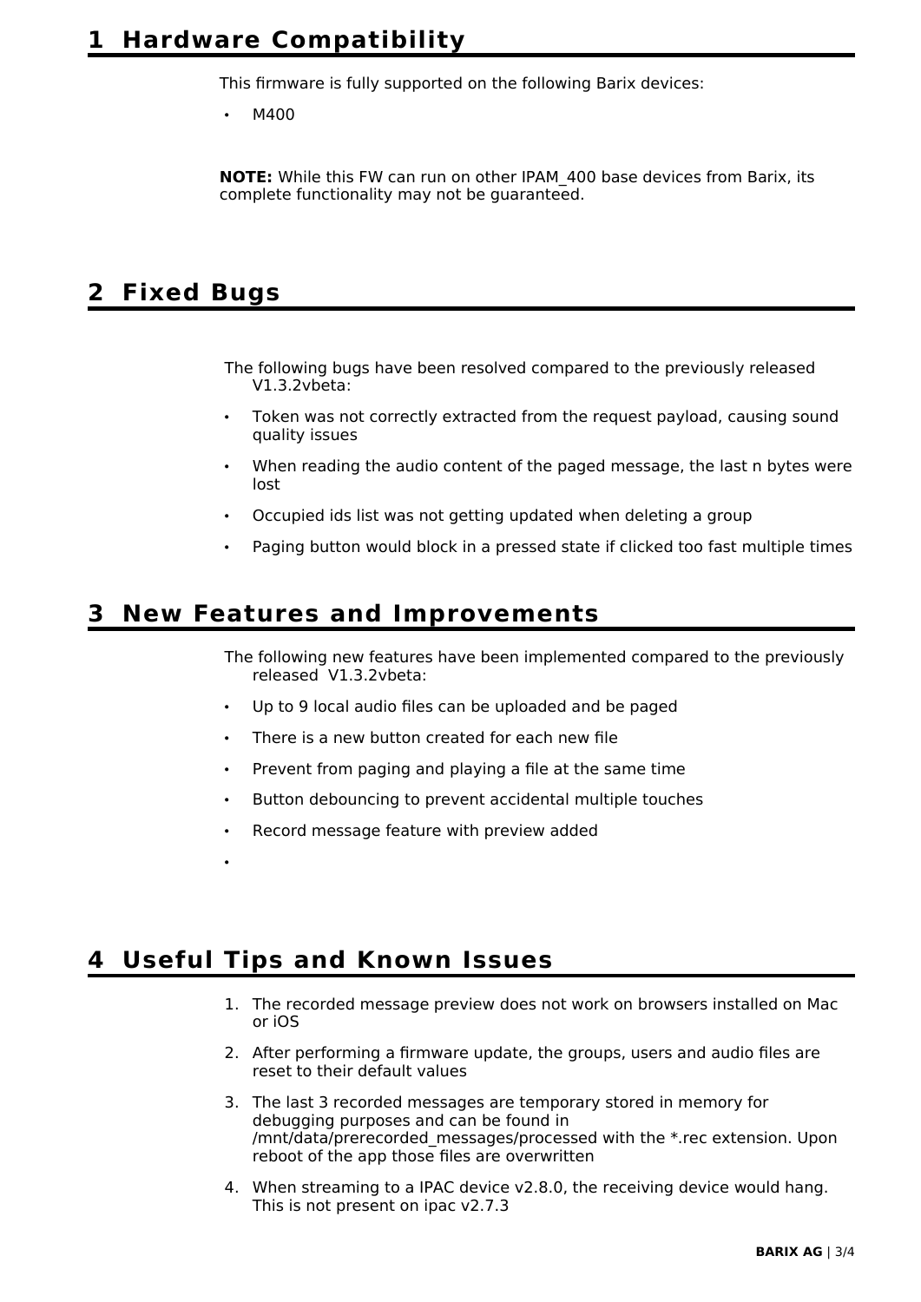This firmware is fully supported on the following Barix devices:

• M400

**NOTE:** While this FW can run on other IPAM\_400 base devices from Barix, its complete functionality may not be guaranteed.

# **2 Fixed Bugs**

The following bugs have been resolved compared to the previously released V1.3.2vbeta:

- Token was not correctly extracted from the request payload, causing sound quality issues
- When reading the audio content of the paged message, the last n bytes were lost
- Occupied ids list was not getting updated when deleting a group
- Paging button would block in a pressed state if clicked too fast multiple times

### **3 New Features and Improvements**

The following new features have been implemented compared to the previously released V1.3.2vbeta:

- Up to 9 local audio files can be uploaded and be paged
- There is a new button created for each new file
- Prevent from paging and playing a file at the same time
- Button debouncing to prevent accidental multiple touches
- Record message feature with preview added
- •

# **4 Useful Tips and Known Issues**

- 1. The recorded message preview does not work on browsers installed on Mac or iOS
- 2. After performing a firmware update, the groups, users and audio files are reset to their default values
- 3. The last 3 recorded messages are temporary stored in memory for debugging purposes and can be found in /mnt/data/prerecorded\_messages/processed with the \*.rec extension. Upon reboot of the app those files are overwritten
- 4. When streaming to a IPAC device v2.8.0, the receiving device would hang. This is not present on ipac v2.7.3